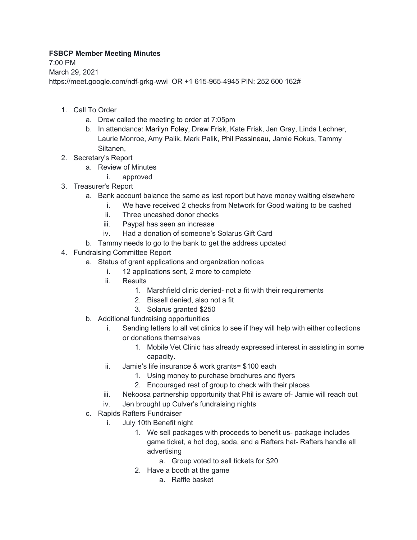## **FSBCP Member Meeting Minutes**

7:00 PM March 29, 2021 https://meet.google.com/ndf-grkg-wwi OR +1 615-965-4945 PIN: 252 600 162#

- 1. Call To Order
	- a. Drew called the meeting to order at 7:05pm
	- b. In attendance: Marilyn Foley, Drew Frisk, Kate Frisk, Jen Gray, Linda Lechner, Laurie Monroe, Amy Palik, Mark Palik, Phil Passineau, Jamie Rokus, Tammy Siltanen,
- 2. Secretary's Report
	- a. Review of Minutes
		- i. approved
- 3. Treasurer's Report
	- a. Bank account balance the same as last report but have money waiting elsewhere
		- i. We have received 2 checks from Network for Good waiting to be cashed
		- ii. Three uncashed donor checks
		- iii. Paypal has seen an increase
		- iv. Had a donation of someone's Solarus Gift Card
	- b. Tammy needs to go to the bank to get the address updated
- 4. Fundraising Committee Report
	- a. Status of grant applications and organization notices
		- i. 12 applications sent, 2 more to complete
		- ii. Results
			- 1. Marshfield clinic denied- not a fit with their requirements
				- 2. Bissell denied, also not a fit
				- 3. Solarus granted \$250
	- b. Additional fundraising opportunities
		- i. Sending letters to all vet clinics to see if they will help with either collections or donations themselves
			- 1. Mobile Vet Clinic has already expressed interest in assisting in some capacity.
		- ii. Jamie's life insurance & work grants= \$100 each
			- 1. Using money to purchase brochures and flyers
			- 2. Encouraged rest of group to check with their places
		- iii. Nekoosa partnership opportunity that Phil is aware of- Jamie will reach out
		- iv. Jen brought up Culver's fundraising nights
	- c. Rapids Rafters Fundraiser
		- i. July 10th Benefit night
			- 1. We sell packages with proceeds to benefit us- package includes game ticket, a hot dog, soda, and a Rafters hat- Rafters handle all advertising
				- a. Group voted to sell tickets for \$20
			- 2. Have a booth at the game
				- a. Raffle basket